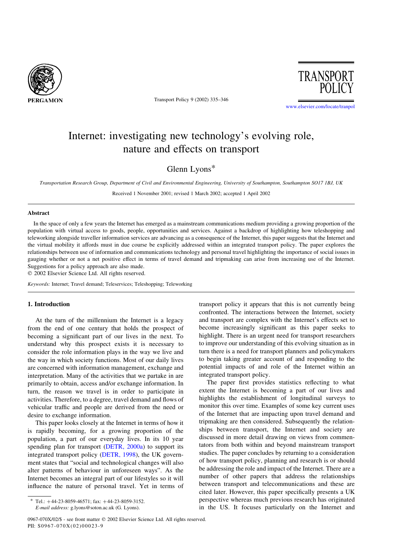

Transport Policy 9 (2002) 335–346



[www.elsevier.com/locate/tranpol](http://www.elsevier.com/locate/tranpol)

## Internet: investigating new technology's evolving role, nature and effects on transport

Glenn Lyons\*

Transportation Research Group, Department of Civil and Environmental Engineering, University of Southampton, Southampton SO17 1BJ, UK Received 1 November 2001; revised 1 March 2002; accepted 1 April 2002

#### Abstract

In the space of only a few years the Internet has emerged as a mainstream communications medium providing a growing proportion of the population with virtual access to goods, people, opportunities and services. Against a backdrop of highlighting how teleshopping and teleworking alongside traveller information services are advancing as a consequence of the Internet, this paper suggests that the Internet and the virtual mobility it affords must in due course be explicitly addressed within an integrated transport policy. The paper explores the relationships between use of information and communications technology and personal travel highlighting the importance of social issues in gauging whether or not a net positive effect in terms of travel demand and tripmaking can arise from increasing use of the Internet. Suggestions for a policy approach are also made.

 $Q$  2002 Elsevier Science Ltd. All rights reserved.

Keywords: Internet; Travel demand; Teleservices; Teleshopping; Teleworking

#### 1. Introduction

At the turn of the millennium the Internet is a legacy from the end of one century that holds the prospect of becoming a significant part of our lives in the next. To understand why this prospect exists it is necessary to consider the role information plays in the way we live and the way in which society functions. Most of our daily lives are concerned with information management, exchange and interpretation. Many of the activities that we partake in are primarily to obtain, access and/or exchange information. In turn, the reason we travel is in order to participate in activities. Therefore, to a degree, travel demand and flows of vehicular traffic and people are derived from the need or desire to exchange information.

This paper looks closely at the Internet in terms of how it is rapidly becoming, for a growing proportion of the population, a part of our everyday lives. In its 10 year spending plan for transport [\(DETR, 2000a](#page--1-0)) to support its integrated transport policy [\(DETR, 1998](#page--1-0)), the UK government states that "social and technological changes will also alter patterns of behaviour in unforeseen ways". As the Internet becomes an integral part of our lifestyles so it will influence the nature of personal travel. Yet in terms of

Tel.:  $+44-23-8059-46571$ ; fax:  $+44-23-8059-3152$ .

E-mail address: g.lyons@soton.ac.uk (G. Lyons).

transport policy it appears that this is not currently being confronted. The interactions between the Internet, society and transport are complex with the Internet's effects set to become increasingly significant as this paper seeks to highlight. There is an urgent need for transport researchers to improve our understanding of this evolving situation as in turn there is a need for transport planners and policymakers to begin taking greater account of and responding to the potential impacts of and role of the Internet within an integrated transport policy.

The paper first provides statistics reflecting to what extent the Internet is becoming a part of our lives and highlights the establishment of longitudinal surveys to monitor this over time. Examples of some key current uses of the Internet that are impacting upon travel demand and tripmaking are then considered. Subsequently the relationships between transport, the Internet and society are discussed in more detail drawing on views from commentators from both within and beyond mainstream transport studies. The paper concludes by returning to a consideration of how transport policy, planning and research is or should be addressing the role and impact of the Internet. There are a number of other papers that address the relationships between transport and telecommunications and these are cited later. However, this paper specifically presents a UK perspective whereas much previous research has originated in the US. It focuses particularly on the Internet and

<sup>0967-070</sup>X/02/\$ - see front matter © 2002 Elsevier Science Ltd. All rights reserved. PII: S0967-070X(02)00023-9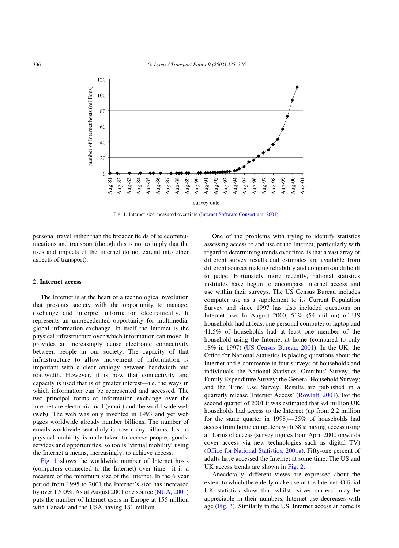

Fig. 1. Internet size measured over time [\(Internet Software Consortium, 2001\)](#page--1-0).

personal travel rather than the broader fields of telecommunications and transport (though this is not to imply that the uses and impacts of the Internet do not extend into other aspects of transport).

### 2. Internet access

The Internet is at the heart of a technological revolution that presents society with the opportunity to manage, exchange and interpret information electronically. It represents an unprecedented opportunity for multimedia, global information exchange. In itself the Internet is the physical infrastructure over which information can move. It provides an increasingly dense electronic connectivity between people in our society. The capacity of that infrastructure to allow movement of information is important with a clear analogy between bandwidth and roadwidth. However, it is how that connectivity and capacity is used that is of greater interest—i.e. the ways in which information can be represented and accessed. The two principal forms of information exchange over the Internet are electronic mail (email) and the world wide web (web). The web was only invented in 1993 and yet web pages worldwide already number billions. The number of emails worldwide sent daily is now many billions. Just as physical mobility is undertaken to access people, goods, services and opportunities, so too is 'virtual mobility' using the Internet a means, increasingly, to achieve access.

Fig. 1 shows the worldwide number of Internet hosts (computers connected to the Internet) over time—it is a measure of the minimum size of the Internet. In the 6 year period from 1995 to 2001 the Internet's size has increased by over 1700%. As of August 2001 one source [\(NUA, 2001](#page--1-0)) puts the number of Internet users in Europe at 155 million with Canada and the USA having 181 million.

One of the problems with trying to identify statistics assessing access to and use of the Internet, particularly with regard to determining trends over time, is that a vast array of different survey results and estimates are available from different sources making reliability and comparison difficult to judge. Fortunately more recently, national statistics institutes have begun to encompass Internet access and use within their surveys. The US Census Bureau includes computer use as a supplement to its Current Population Survey and since 1997 has also included questions on Internet use. In August 2000, 51% (54 million) of US households had at least one personal computer or laptop and 41.5% of households had at least one member of the household using the Internet at home (compared to only 18% in 1997) ([US Census Bureau, 2001](#page--1-0)). In the UK, the Office for National Statistics is placing questions about the Internet and e-commerce in four surveys of households and individuals: the National Statistics 'Omnibus' Survey; the Family Expenditure Survey; the General Household Survey; and the Time Use Survey. Results are published in a quarterly release 'Internet Access' [\(Rowlatt, 2001](#page--1-0)). For the second quarter of 2001 it was estimated that 9.4 million UK households had access to the Internet (up from 2.2 million for the same quarter in 1998)—35% of households had access from home computers with 38% having access using all forms of access (survey figures from April 2000 onwards cover access via new technologies such as digital TV) ([Office for National Statistics, 2001a\)](#page--1-0). Fifty-one percent of adults have accessed the Internet at some time. The US and UK access trends are shown in [Fig. 2.](#page--1-0)

Anecdotally, different views are expressed about the extent to which the elderly make use of the Internet. Official UK statistics show that whilst 'silver surfers' may be appreciable in their numbers, Internet use decreases with age ([Fig. 3](#page--1-0)). Similarly in the US, Internet access at home is